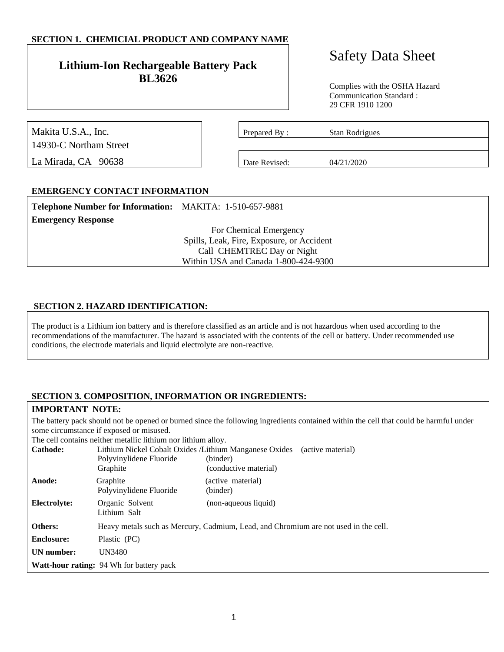# **SECTION 1. CHEMICIAL PRODUCT AND COMPANY NAME**

# **Lithium-Ion Rechargeable Battery Pack BL3626**

# Safety Data Sheet

Complies with the OSHA Hazard Communication Standard : 29 CFR 1910 1200

| Makita U.S.A., Inc.    | Prepared By:  | Stan Rodrigues |  |
|------------------------|---------------|----------------|--|
| 14930-C Northam Street |               |                |  |
| La Mirada, CA 90638    | Date Revised: | 04/21/2020     |  |

# **EMERGENCY CONTACT INFORMATION**

| Telephone Number for Information: MAKITA: 1-510-657-9881 |  |
|----------------------------------------------------------|--|
|                                                          |  |

For Chemical Emergency Spills, Leak, Fire, Exposure, or Accident Call CHEMTREC Day or Night Within USA and Canada 1-800-424-9300

#### **SECTION 2. HAZARD IDENTIFICATION:**

The product is a Lithium ion battery and is therefore classified as an article and is not hazardous when used according to the recommendations of the manufacturer. The hazard is associated with the contents of the cell or battery. Under recommended use conditions, the electrode materials and liquid electrolyte are non-reactive.

#### **SECTION 3. COMPOSITION, INFORMATION OR INGREDIENTS:**

#### **IMPORTANT NOTE:**

**Emergency Response**

The battery pack should not be opened or burned since the following ingredients contained within the cell that could be harmful under some circumstance if exposed or misused.

The cell contains neither metallic lithium nor lithium alloy.

| <b>Cathode:</b>   | Lithium Nickel Cobalt Oxides / Lithium Manganese Oxides<br>Polyvinylidene Fluoride<br>Graphite | (active material)<br>(binder)<br>(conductive material)                              |
|-------------------|------------------------------------------------------------------------------------------------|-------------------------------------------------------------------------------------|
| Anode:            | Graphite<br>Polyvinylidene Fluoride                                                            | (active material)<br>(binder)                                                       |
| Electrolyte:      | Organic Solvent<br>Lithium Salt                                                                | (non-aqueous liquid)                                                                |
| <b>Others:</b>    |                                                                                                | Heavy metals such as Mercury, Cadmium, Lead, and Chromium are not used in the cell. |
| <b>Enclosure:</b> | Plastic (PC)                                                                                   |                                                                                     |
| <b>UN</b> number: | UN3480                                                                                         |                                                                                     |
|                   | Watt-hour rating: 94 Wh for battery pack                                                       |                                                                                     |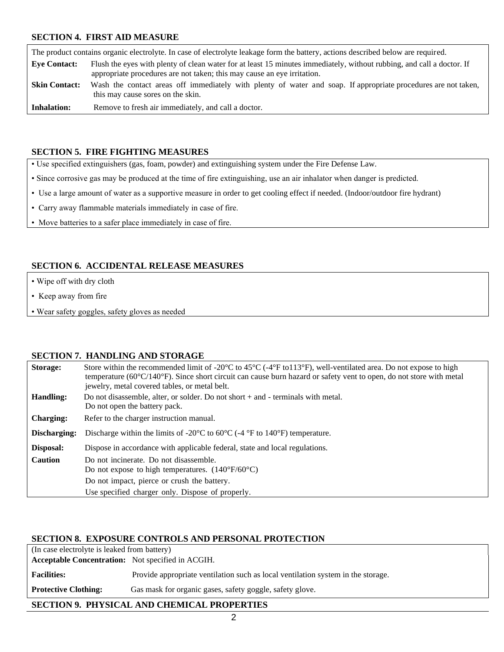#### **SECTION 4. FIRST AID MEASURE**

The product contains organic electrolyte. In case of electrolyte leakage form the battery, actions described below are required. **Eye Contact:** Flush the eyes with plenty of clean water for at least 15 minutes immediately, without rubbing, and call a doctor. If appropriate procedures are not taken; this may cause an eye irritation. Skin Contact: Wash the contact areas off immediately with plenty of water and soap. If appropriate procedures are not taken, this may cause sores on the skin. **Inhalation:** Remove to fresh air immediately, and call a doctor.

#### **SECTION 5. FIRE FIGHTING MEASURES**

• Use specified extinguishers (gas, foam, powder) and extinguishing system under the Fire Defense Law.

- Since corrosive gas may be produced at the time of fire extinguishing, use an air inhalator when danger is predicted.
- Use a large amount of water as a supportive measure in order to get cooling effect if needed. (Indoor/outdoor fire hydrant)
- Carry away flammable materials immediately in case of fire.
- Move batteries to a safer place immediately in case of fire.

# **SECTION 6. ACCIDENTAL RELEASE MEASURES**

- Wipe off with dry cloth
- Keep away from fire
- Wear safety goggles, safety gloves as needed

#### **SECTION 7. HANDLING AND STORAGE**

| Storage:         | Store within the recommended limit of -20 $^{\circ}$ C to 45 $^{\circ}$ C (-4 $^{\circ}$ F to 113 $^{\circ}$ F), well-ventilated area. Do not expose to high<br>temperature ( $60^{\circ}C/140^{\circ}F$ ). Since short circuit can cause burn hazard or safety vent to open, do not store with metal<br>jewelry, metal covered tables, or metal belt. |
|------------------|--------------------------------------------------------------------------------------------------------------------------------------------------------------------------------------------------------------------------------------------------------------------------------------------------------------------------------------------------------|
| Handling:        | Do not disassemble, alter, or solder. Do not short $+$ and $-$ terminals with metal.                                                                                                                                                                                                                                                                   |
|                  | Do not open the battery pack.                                                                                                                                                                                                                                                                                                                          |
| <b>Charging:</b> | Refer to the charger instruction manual.                                                                                                                                                                                                                                                                                                               |
| Discharging:     | Discharge within the limits of -20 $\rm{^{\circ}C}$ to 60 $\rm{^{\circ}C}$ (-4 $\rm{^{\circ}F}$ to 140 $\rm{^{\circ}F}$ ) temperature.                                                                                                                                                                                                                 |
| Disposal:        | Dispose in accordance with applicable federal, state and local regulations.                                                                                                                                                                                                                                                                            |
| <b>Caution</b>   | Do not incinerate. Do not disassemble.                                                                                                                                                                                                                                                                                                                 |
|                  | Do not expose to high temperatures. $(140^{\circ}F/60^{\circ}C)$                                                                                                                                                                                                                                                                                       |
|                  | Do not impact, pierce or crush the battery.                                                                                                                                                                                                                                                                                                            |
|                  | Use specified charger only. Dispose of properly.                                                                                                                                                                                                                                                                                                       |

#### **SECTION 8. EXPOSURE CONTROLS AND PERSONAL PROTECTION**

| (In case electrolyte is leaked from battery)             |                                                                                  |  |
|----------------------------------------------------------|----------------------------------------------------------------------------------|--|
| <b>Acceptable Concentration:</b> Not specified in ACGIH. |                                                                                  |  |
| <b>Facilities:</b>                                       | Provide appropriate ventilation such as local ventilation system in the storage. |  |
| <b>Protective Clothing:</b>                              | Gas mask for organic gases, safety goggle, safety glove.                         |  |

# **SECTION 9. PHYSICAL AND CHEMICAL PROPERTIES**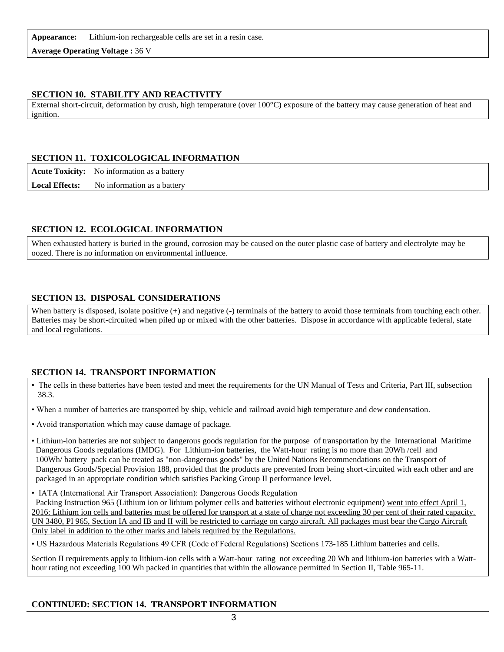**Appearance:** Lithium-ion rechargeable cells are set in a resin case.

**Average Operating Voltage :** 36 V

# **SECTION 10. STABILITY AND REACTIVITY**

External short-circuit, deformation by crush, high temperature (over 100°C) exposure of the battery may cause generation of heat and ignition.

# **SECTION 11. TOXICOLOGICAL INFORMATION**

**Acute Toxicity:** No information as a battery

**Local Effects:** No information as a battery

# **SECTION 12. ECOLOGICAL INFORMATION**

When exhausted battery is buried in the ground, corrosion may be caused on the outer plastic case of battery and electrolyte may be oozed. There is no information on environmental influence.

#### **SECTION 13. DISPOSAL CONSIDERATIONS**

When battery is disposed, isolate positive (+) and negative (-) terminals of the battery to avoid those terminals from touching each other. Batteries may be short-circuited when piled up or mixed with the other batteries. Dispose in accordance with applicable federal, state and local regulations.

#### **SECTION 14. TRANSPORT INFORMATION**

- The cells in these batteries have been tested and meet the requirements for the UN Manual of Tests and Criteria, Part III, subsection 38.3.
- When a number of batteries are transported by ship, vehicle and railroad avoid high temperature and dew condensation.
- Avoid transportation which may cause damage of package.
- Lithium-ion batteries are not subject to dangerous goods regulation for the purpose of transportation by the International Maritime Dangerous Goods regulations (IMDG). For Lithium-ion batteries, the Watt-hour rating is no more than 20Wh /cell and 100Wh/ battery pack can be treated as "non-dangerous goods" by the United Nations Recommendations on the Transport of Dangerous Goods/Special Provision 188, provided that the products are prevented from being short-circuited with each other and are packaged in an appropriate condition which satisfies Packing Group II performance level.
- IATA (International Air Transport Association): Dangerous Goods Regulation

 Packing Instruction 965 (Lithium ion or lithium polymer cells and batteries without electronic equipment) went into effect April 1, 2016: Lithium ion cells and batteries must be offered for transport at a state of charge not exceeding 30 per cent of their rated capacity. UN 3480, PI 965, Section IA and IB and II will be restricted to carriage on cargo aircraft. All packages must bear the Cargo Aircraft Only label in addition to the other marks and labels required by the Regulations.

• US Hazardous Materials Regulations 49 CFR (Code of Federal Regulations) Sections 173-185 Lithium batteries and cells.

Section II requirements apply to lithium-ion cells with a Watt-hour rating not exceeding 20 Wh and lithium-ion batteries with a Watthour rating not exceeding 100 Wh packed in quantities that within the allowance permitted in Section II, Table 965-11.

#### **CONTINUED: SECTION 14. TRANSPORT INFORMATION**